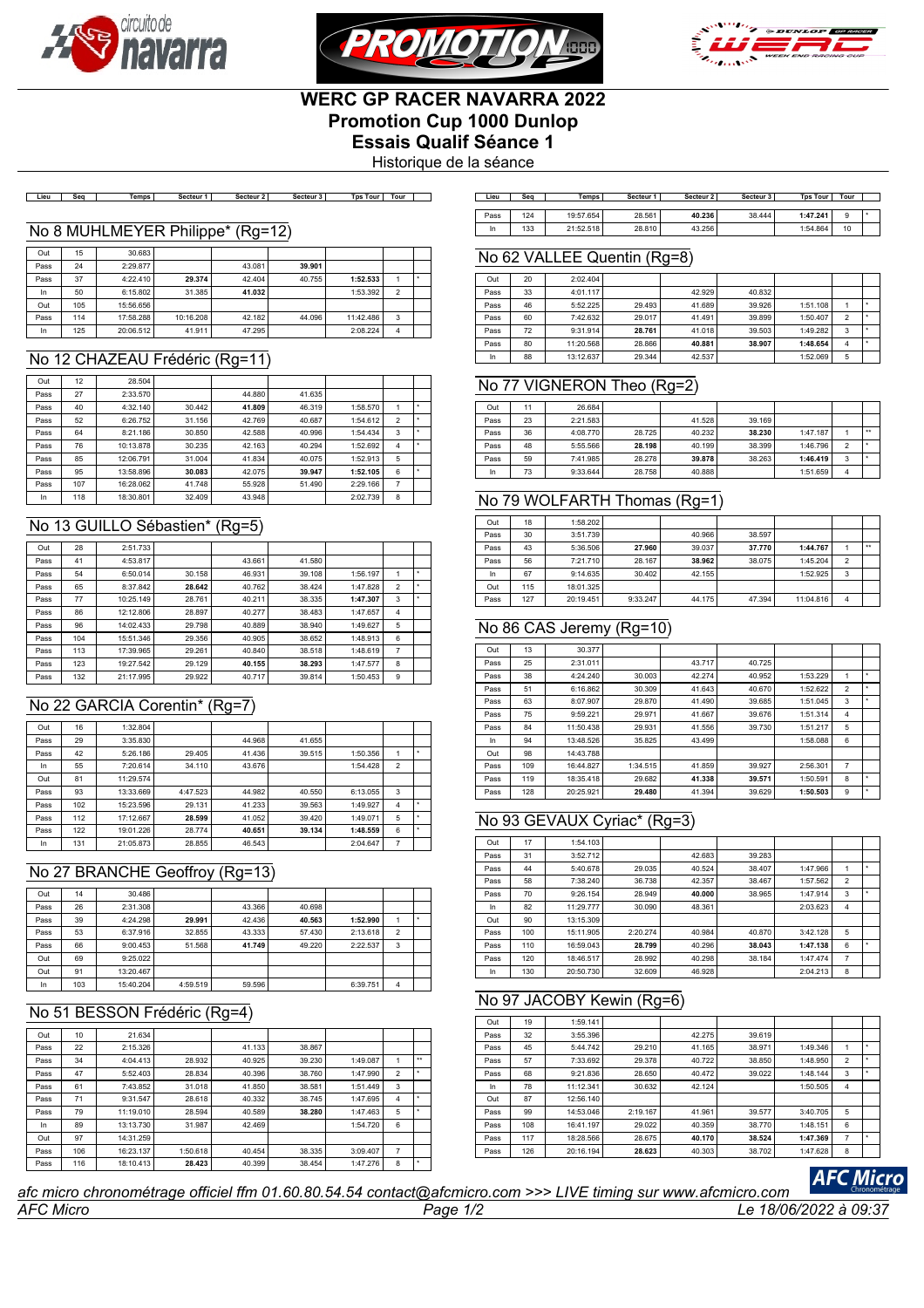





# **WERC GP RACER NAVARRA 2022 Promotion Cup 1000 Dunlop Essais Qualif Séance 1**

Historique de la séance

Lieu | Seq | Temps | Secteur 1 | Secteur 2 | Secteur 3 | Tps Tour | Tour | ]

| Lieu | Sea | Temps     | Secteur 1 | Secteur 2 | Secteur 3 | <b>Tps Tour</b> | Tour |  |
|------|-----|-----------|-----------|-----------|-----------|-----------------|------|--|
| Pass | 124 | 19:57.654 | 28.561    | 40.236    | 38.444    | 1:47.241        | 9    |  |
| In   | 133 | 21:52.518 | 28,810    | 43.256    |           | 1:54.864        | 10   |  |

#### No 8 MUHLMEYER Philippe\* (Rg=12)

| Out  | 15  | 30.683    |           |        |        |           |                |  |
|------|-----|-----------|-----------|--------|--------|-----------|----------------|--|
| Pass | 24  | 2:29.877  |           | 43.081 | 39.901 |           |                |  |
| Pass | 37  | 4:22.410  | 29.374    | 42.404 | 40.755 | 1:52.533  |                |  |
| In   | 50  | 6:15.802  | 31.385    | 41.032 |        | 1:53.392  | $\mathfrak{p}$ |  |
| Out  | 105 | 15:56.656 |           |        |        |           |                |  |
| Pass | 114 | 17:58.288 | 10:16.208 | 42.182 | 44.096 | 11:42.486 | 3              |  |
| In   | 125 | 20:06.512 | 41.911    | 47.295 |        | 2:08.224  | 4              |  |

## No 12 CHAZEAU Frédéric (Rg=11)

| Out  | 12  | 28.504    |        |        |        |          |                |  |
|------|-----|-----------|--------|--------|--------|----------|----------------|--|
| Pass | 27  | 2:33.570  |        | 44.880 | 41.635 |          |                |  |
| Pass | 40  | 4:32.140  | 30.442 | 41.809 | 46.319 | 1:58.570 |                |  |
| Pass | 52  | 6:26.752  | 31.156 | 42.769 | 40.687 | 1:54.612 | $\mathfrak{p}$ |  |
| Pass | 64  | 8:21.186  | 30.850 | 42.588 | 40.996 | 1:54.434 | 3              |  |
| Pass | 76  | 10:13.878 | 30.235 | 42.163 | 40.294 | 1:52.692 | 4              |  |
| Pass | 85  | 12:06.791 | 31.004 | 41.834 | 40.075 | 1:52.913 | 5              |  |
| Pass | 95  | 13:58.896 | 30.083 | 42.075 | 39.947 | 1:52.105 | 6              |  |
| Pass | 107 | 16:28.062 | 41.748 | 55.928 | 51,490 | 2:29.166 | 7              |  |
| In   | 118 | 18:30.801 | 32.409 | 43.948 |        | 2:02.739 | 8              |  |

### No 13 GUILLO Sébastien\* (Rg=5)

| Out  | 28  | 2:51.733  |        |        |        |          |                |  |
|------|-----|-----------|--------|--------|--------|----------|----------------|--|
| Pass | 41  | 4:53.817  |        | 43.661 | 41.580 |          |                |  |
| Pass | 54  | 6:50.014  | 30.158 | 46.931 | 39.108 | 1:56.197 |                |  |
| Pass | 65  | 8:37.842  | 28.642 | 40.762 | 38.424 | 1:47.828 | $\overline{2}$ |  |
| Pass | 77  | 10:25.149 | 28.761 | 40.211 | 38.335 | 1:47.307 | 3              |  |
| Pass | 86  | 12:12.806 | 28.897 | 40.277 | 38.483 | 1:47.657 | 4              |  |
| Pass | 96  | 14:02.433 | 29.798 | 40.889 | 38.940 | 1:49.627 | 5              |  |
| Pass | 104 | 15:51.346 | 29.356 | 40.905 | 38.652 | 1:48.913 | 6              |  |
| Pass | 113 | 17:39.965 | 29.261 | 40.840 | 38.518 | 1:48.619 | 7              |  |
| Pass | 123 | 19:27.542 | 29.129 | 40.155 | 38.293 | 1:47.577 | 8              |  |
| Pass | 132 | 21:17.995 | 29.922 | 40.717 | 39.814 | 1:50.453 | 9              |  |

# No 22 GARCIA Corentin\* (Rg=7)

| Out  | 16  | 1:32.804  |          |        |        |          |                |  |
|------|-----|-----------|----------|--------|--------|----------|----------------|--|
| Pass | 29  | 3:35.830  |          | 44.968 | 41.655 |          |                |  |
| Pass | 42  | 5:26.186  | 29.405   | 41.436 | 39.515 | 1:50.356 |                |  |
| In   | 55  | 7:20.614  | 34.110   | 43.676 |        | 1:54.428 | $\overline{2}$ |  |
| Out  | 81  | 11:29.574 |          |        |        |          |                |  |
| Pass | 93  | 13:33.669 | 4:47.523 | 44.982 | 40.550 | 6:13.055 | 3              |  |
| Pass | 102 | 15:23.596 | 29.131   | 41.233 | 39.563 | 1:49.927 | 4              |  |
| Pass | 112 | 17:12.667 | 28.599   | 41.052 | 39.420 | 1:49.071 | 5              |  |
| Pass | 122 | 19:01.226 | 28.774   | 40.651 | 39.134 | 1:48.559 | 6              |  |
| In   | 131 | 21:05.873 | 28.855   | 46.543 |        | 2:04.647 | 7              |  |

# No 27 BRANCHE Geoffroy (Rg=13)

| Out  | 14  | 30.486    |          |        |        |          |                |  |
|------|-----|-----------|----------|--------|--------|----------|----------------|--|
| Pass | 26  | 2:31.308  |          | 43.366 | 40.698 |          |                |  |
| Pass | 39  | 4:24.298  | 29.991   | 42.436 | 40.563 | 1:52.990 |                |  |
| Pass | 53  | 6:37.916  | 32.855   | 43.333 | 57,430 | 2:13.618 | $\overline{2}$ |  |
| Pass | 66  | 9:00.453  | 51.568   | 41.749 | 49.220 | 2:22.537 | 3              |  |
| Out  | 69  | 9:25.022  |          |        |        |          |                |  |
| Out  | 91  | 13:20.467 |          |        |        |          |                |  |
| In   | 103 | 15:40.204 | 4:59.519 | 59.596 |        | 6:39.751 | 4              |  |

# No 51 BESSON Frédéric (Rg=4)

| Out  | 10  | 21.634    |          |        |        |          |                |                      |
|------|-----|-----------|----------|--------|--------|----------|----------------|----------------------|
| Pass | 22  | 2:15.326  |          | 41.133 | 38.867 |          |                |                      |
| Pass | 34  | 4:04.413  | 28.932   | 40.925 | 39.230 | 1:49.087 |                | $\ddot{\phantom{1}}$ |
| Pass | 47  | 5:52.403  | 28.834   | 40.396 | 38.760 | 1:47.990 | $\overline{2}$ |                      |
| Pass | 61  | 7:43.852  | 31.018   | 41.850 | 38.581 | 1:51.449 | 3              |                      |
| Pass | 71  | 9:31.547  | 28.618   | 40.332 | 38.745 | 1:47.695 | $\overline{4}$ |                      |
| Pass | 79  | 11:19.010 | 28.594   | 40.589 | 38.280 | 1:47.463 | 5              |                      |
| In   | 89  | 13:13.730 | 31.987   | 42.469 |        | 1:54.720 | 6              |                      |
| Out  | 97  | 14:31.259 |          |        |        |          |                |                      |
| Pass | 106 | 16:23.137 | 1:50.618 | 40.454 | 38.335 | 3:09.407 | 7              |                      |
| Pass | 116 | 18:10.413 | 28.423   | 40.399 | 38.454 | 1:47.276 | 8              |                      |
|      |     |           |          |        |        |          |                |                      |

#### No 62 VALLEE Quentin (Rg=8)

| Out  | 20 | 2:02.404  |        |        |        |          |                          |  |
|------|----|-----------|--------|--------|--------|----------|--------------------------|--|
| Pass | 33 | 4:01.117  |        | 42.929 | 40.832 |          |                          |  |
| Pass | 46 | 5:52.225  | 29.493 | 41.689 | 39.926 | 1:51.108 |                          |  |
| Pass | 60 | 7:42.632  | 29.017 | 41.491 | 39.899 | 1:50.407 | $\overline{\phantom{a}}$ |  |
| Pass | 72 | 9:31.914  | 28.761 | 41.018 | 39.503 | 1:49.282 | 3                        |  |
| Pass | 80 | 11:20.568 | 28.866 | 40.881 | 38.907 | 1:48.654 | 4                        |  |
| In   | 88 | 13:12.637 | 29.344 | 42.537 |        | 1:52.069 | 5                        |  |

## No 77 VIGNERON Theo (Rg=2)

| Out  | 11 | 26.684   |        |        |        |          |                |              |
|------|----|----------|--------|--------|--------|----------|----------------|--------------|
| Pass | 23 | 2:21.583 |        | 41.528 | 39.169 |          |                |              |
| Pass | 36 | 4:08.770 | 28.725 | 40.232 | 38.230 | 1:47.187 |                | $\star\star$ |
| Pass | 48 | 5:55.566 | 28.198 | 40.199 | 38,399 | 1:46.796 | $\overline{2}$ |              |
| Pass | 59 | 7:41.985 | 28.278 | 39.878 | 38.263 | 1:46.419 | 3              |              |
| In   | 73 | 9:33.644 | 28.758 | 40.888 |        | 1:51.659 | 4              |              |

## No 79 WOLFARTH Thomas (Rg=1)

| Out  | 18  | 1:58.202  |          |        |        |           |                |                  |
|------|-----|-----------|----------|--------|--------|-----------|----------------|------------------|
| Pass | 30  | 3:51.739  |          | 40.966 | 38.597 |           |                |                  |
| Pass | 43  | 5:36.506  | 27.960   | 39.037 | 37.770 | 1:44.767  |                | $\bullet\bullet$ |
| Pass | 56  | 7:21.710  | 28.167   | 38.962 | 38.075 | 1:45.204  | $\overline{2}$ |                  |
| In   | 67  | 9:14.635  | 30.402   | 42.155 |        | 1:52.925  | 3              |                  |
| Out  | 115 | 18:01.325 |          |        |        |           |                |                  |
| Pass | 127 | 20:19.451 | 9:33.247 | 44.175 | 47.394 | 11:04.816 | 4              |                  |

# No 86 CAS Jeremy (Rg=10)

| Out  | 13  | 30.377    |          |        |        |          |                |   |
|------|-----|-----------|----------|--------|--------|----------|----------------|---|
| Pass | 25  | 2:31.011  |          | 43.717 | 40.725 |          |                |   |
| Pass | 38  | 4:24.240  | 30.003   | 42.274 | 40.952 | 1:53.229 | 1              |   |
| Pass | 51  | 6:16.862  | 30.309   | 41.643 | 40.670 | 1:52.622 | $\overline{2}$ |   |
| Pass | 63  | 8:07.907  | 29.870   | 41.490 | 39.685 | 1:51.045 | 3              | ٠ |
| Pass | 75  | 9:59.221  | 29.971   | 41.667 | 39.676 | 1:51.314 | 4              |   |
| Pass | 84  | 11:50.438 | 29.931   | 41.556 | 39.730 | 1:51.217 | 5              |   |
| In   | 94  | 13:48.526 | 35.825   | 43.499 |        | 1:58.088 | 6              |   |
| Out  | 98  | 14:43.788 |          |        |        |          |                |   |
| Pass | 109 | 16:44.827 | 1:34.515 | 41.859 | 39.927 | 2:56.301 | 7              |   |
| Pass | 119 | 18:35.418 | 29.682   | 41.338 | 39.571 | 1:50.591 | 8              |   |
| Pass | 128 | 20:25.921 | 29.480   | 41.394 | 39.629 | 1:50.503 | 9              | ۰ |

## No 93 GEVAUX Cyriac\* (Rg=3)

| Out  | 17  | 1:54.103  |          |        |        |          |                |   |
|------|-----|-----------|----------|--------|--------|----------|----------------|---|
| Pass | 31  | 3:52.712  |          | 42.683 | 39.283 |          |                |   |
| Pass | 44  | 5:40.678  | 29.035   | 40.524 | 38.407 | 1:47.966 | 1              | ٠ |
| Pass | 58  | 7:38.240  | 36.738   | 42.357 | 38.467 | 1:57.562 | $\overline{2}$ |   |
| Pass | 70  | 9:26.154  | 28.949   | 40.000 | 38.965 | 1:47.914 | 3              | ۰ |
| In   | 82  | 11:29.777 | 30.090   | 48.361 |        | 2:03.623 | 4              |   |
| Out  | 90  | 13:15.309 |          |        |        |          |                |   |
| Pass | 100 | 15:11.905 | 2:20.274 | 40.984 | 40.870 | 3:42.128 | 5              |   |
| Pass | 110 | 16:59.043 | 28.799   | 40.296 | 38.043 | 1:47.138 | 6              | ٠ |
| Pass | 120 | 18:46.517 | 28.992   | 40.298 | 38.184 | 1:47.474 | 7              |   |
| In   | 130 | 20:50.730 | 32,609   | 46.928 |        | 2:04.213 | 8              |   |

#### No 97 JACOBY Kewin (Rg=6)

| Out  | 19  | 1:59.141  |          |        |        |          |                |         |
|------|-----|-----------|----------|--------|--------|----------|----------------|---------|
| Pass | 32  | 3:55.396  |          | 42.275 | 39.619 |          |                |         |
| Pass | 45  | 5:44.742  | 29.210   | 41.165 | 38.971 | 1:49.346 | 1              | $\star$ |
| Pass | 57  | 7:33.692  | 29.378   | 40.722 | 38.850 | 1:48.950 | $\overline{2}$ | ٠       |
| Pass | 68  | 9:21.836  | 28.650   | 40.472 | 39.022 | 1:48.144 | 3              | ٠       |
| In   | 78  | 11:12.341 | 30.632   | 42.124 |        | 1:50.505 | $\overline{4}$ |         |
| Out  | 87  | 12:56.140 |          |        |        |          |                |         |
| Pass | 99  | 14:53.046 | 2:19.167 | 41.961 | 39.577 | 3:40.705 | 5              |         |
| Pass | 108 | 16:41.197 | 29.022   | 40.359 | 38.770 | 1:48.151 | 6              |         |
| Pass | 117 | 18:28.566 | 28.675   | 40.170 | 38.524 | 1:47.369 | 7              | ۰       |
| Pass | 126 | 20:16.194 | 28.623   | 40.303 | 38.702 | 1:47.628 | 8              |         |

# **AFC Micro**

#### *AFC Micro Page 1/2 Le 18/06/2022 à 09:37 afc micro chronométrage officiel ffm 01.60.80.54.54 contact@afcmicro.com >>> LIVE timing sur www.afcmicro.com*